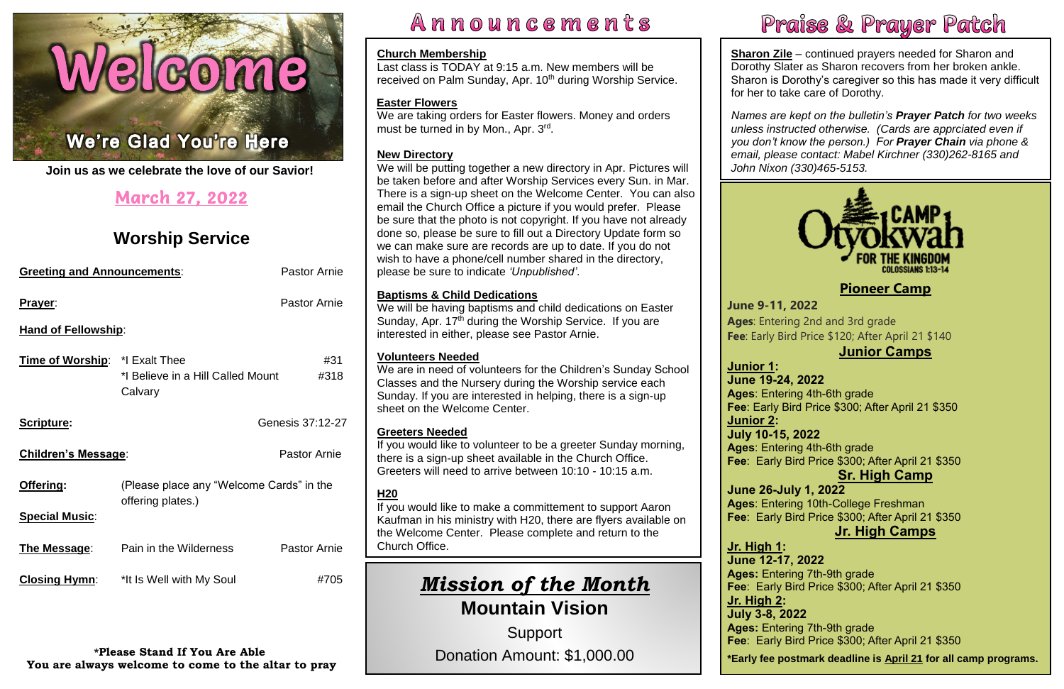## Welcome

#### N Ļ

í **Join us as we celebrate the love of our Savior!**

| <b>Greeting and Announcements:</b> |                                                               | <b>Pastor Arnie</b> |  |
|------------------------------------|---------------------------------------------------------------|---------------------|--|
| Prayer:                            |                                                               | <b>Pastor Arnie</b> |  |
| <b>Hand of Fellowship:</b>         |                                                               |                     |  |
| Time of Worship: *I Exalt Thee     | *I Believe in a Hill Called Mount<br>Calvary                  | #31<br>#318         |  |
| Scripture:                         |                                                               | Genesis 37:12-27    |  |
| <b>Children's Message:</b>         |                                                               | <b>Pastor Arnie</b> |  |
| <u> Offering:</u>                  | (Please place any "Welcome Cards" in the<br>offering plates.) |                     |  |
| <b>Special Music:</b>              |                                                               |                     |  |
| <u>The Message:</u>                | Pain in the Wilderness                                        | <b>Pastor Arnie</b> |  |
| <b>Closing Hymn:</b>               | *It Is Well with My Soul                                      | #705                |  |

## March 27, 2022

## **Worship Service**

**Sharon Zile** – continued prayers needed for Sharon and Dorothy Slater as Sharon recovers from her broken ankle. Sharon is Dorothy's caregiver so this has made it very difficult for her to take care of Dorothy.

**\*Please Stand If You Are Able You are always welcome to come to the altar to pray**





We are taking orders for Easter flowers. Money and orders must be turned in by Mon., Apr. 3rd.

Announcements

 *Names are kept on the bulletin's Prayer Patch for two weeks unless instructed otherwise. (Cards are apprciated even if you don't know the person.) For Prayer Chain via phone & email, please contact: Mabel Kirchner (330)262-8165 and John Nixon (330)465-5153.*

#### **Church Membership** Last class is TODAY at 9:15 a.m. New members will be

received on Palm Sunday, Apr. 10<sup>th</sup> during Worship Service.

#### **Easter Flowers**

#### **New Directory**

**Fee**: Early Bird Price \$300; After April 21 \$350 **Ages**: Entering 4th-6th grade

We will be putting together a new directory in Apr. Pictures will be taken before and after Worship Services every Sun. in Mar. There is a sign-up sheet on the Welcome Center. You can also email the Church Office a picture if you would prefer. Please be sure that the photo is not copyright. If you have not already done so, please be sure to fill out a Directory Update form so we can make sure are records are up to date. If you do not wish to have a phone/cell number shared in the directory, please be sure to indicate *'Unpublished'*.

> **Fee**: Early Bird Price \$120; After April 21 \$140 **June 9-11, 2022 Ages**: Entering 2nd and 3rd grade

## **Junior Camps**

 **Sr. High Camp Ages**: Entering 4th-6th grade **Fee**: Early Bird Price \$300; After April 21 \$350

 **Fee**: Early Bird Price \$300; After April 21 \$350 **June 26-July 1, 2022 Ages**: Entering 10th-College Freshman

#### **Baptisms & Child Dedications**

## **Jr. High Camps**

We will be having baptisms and child dedications on Easter Sunday, Apr.  $17<sup>th</sup>$  during the Worship Service. If you are interested in either, please see Pastor Arnie.

> **Fee**: Early Bird Price \$300; After April 21 \$350 **Ages:** Entering 7th-9th grade<br>**Fee**: Early Bird Price \$300; After April 21 \$350  **\*Early fee postmark deadline is April 21 for all camp programs.Jr. High 1: June 12-17, 2022 Ages:** Entering 7th-9th grade **Jr. High 2: July 3-8, 2022 Ages:** Entering 7th-9th grade

#### **Volunteers Needed**

We are in need of volunteers for the Children's Sunday School Classes and the Nursery during the Worship service each Sunday. If you are interested in helping, there is a sign-up sheet on the Welcome Center.

#### **Greeters Needed**

If you would like to volunteer to be a greeter Sunday morning, there is a sign-up sheet available in the Church Office. Greeters will need to arrive between 10:10 - 10:15 a.m.

### **H20**

If you would like to make a committement to support Aaron Kaufman in his ministry with H20, there are flyers available on the Welcome Center. Please complete and return to the Church Office.

## *Mission of the Month* **Mountain Vision**

Support Donation Amount: \$1,000.00



#### **[Pioneer Camp](https://www.otyokwah.org/)**

**Junior 1: June 19-24, 2022 Junior 2: July 10-15, 2022**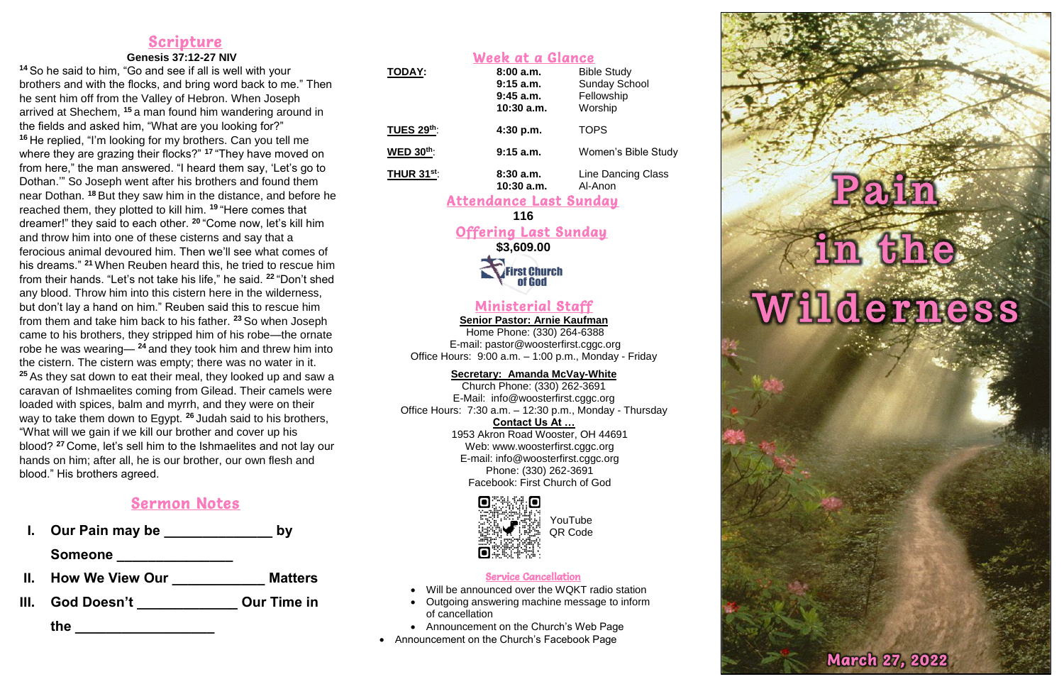#### Scripture

#### **Genesis 37:12-27 NIV**

**<sup>14</sup>** So he said to him, "Go and see if all is well with your brothers and with the flocks, and bring word back to me." Then he sent him off from the Valley of Hebron. When Joseph arrived at Shechem, **<sup>15</sup>** a man found him wandering around in the fields and asked him, "What are you looking for?" **<sup>16</sup>** He replied, "I'm looking for my brothers. Can you tell me where they are grazing their flocks?" **<sup>17</sup>** "They have moved on from here," the man answered. "I heard them say, 'Let's go to Dothan.'" So Joseph went after his brothers and found them near Dothan. **<sup>18</sup>** But they saw him in the distance, and before he reached them, they plotted to kill him. **<sup>19</sup>** "Here comes that dreamer!" they said to each other. **<sup>20</sup>** "Come now, let's kill him and throw him into one of these cisterns and say that a ferocious animal devoured him. Then we'll see what comes of his dreams." **<sup>21</sup>** When Reuben heard this, he tried to rescue him from their hands. "Let's not take his life," he said. **<sup>22</sup>** "Don't shed any blood. Throw him into this cistern here in the wilderness, but don't lay a hand on him." Reuben said this to rescue him from them and take him back to his father. **<sup>23</sup>** So when Joseph came to his brothers, they stripped him of his robe—the ornate robe he was wearing— **<sup>24</sup>** and they took him and threw him into the cistern. The cistern was empty; there was no water in it. **<sup>25</sup>** As they sat down to eat their meal, they looked up and saw a caravan of Ishmaelites coming from Gilead. Their camels were loaded with spices, balm and myrrh, and they were on their way to take them down to Egypt. **<sup>26</sup>** Judah said to his brothers, "What will we gain if we kill our brother and cover up his blood? **<sup>27</sup>** Come, let's sell him to the Ishmaelites and not lay our hands on him; after all, he is our brother, our own flesh and blood." His brothers agreed.

### Sermon Notes

**I. Our Pain may be \_\_\_\_\_\_\_\_\_\_\_\_\_\_ by** 

**Someone \_\_\_\_\_\_\_\_\_\_\_\_\_\_\_**

- **II. How We View Our \_\_\_\_\_\_\_\_\_\_\_\_ Matters**
- **III. God Doesn't \_\_\_\_\_\_\_\_\_\_\_\_\_ Our Time in**

**the \_\_\_\_\_\_\_\_\_\_\_\_\_\_\_\_\_\_\_** 

| Week at a Glance  |                                                        |                                                                     |  |
|-------------------|--------------------------------------------------------|---------------------------------------------------------------------|--|
| <b>TODAY:</b>     | 8:00a.m.<br>$9:15$ a.m.<br>$9:45$ a.m.<br>$10:30$ a.m. | <b>Bible Study</b><br><b>Sunday School</b><br>Fellowship<br>Worship |  |
| <b>TUES 29th:</b> | 4:30 p.m.                                              | <b>TOPS</b>                                                         |  |
| <b>WED 30th:</b>  | $9:15$ a.m.                                            | <b>Women's Bible Study</b>                                          |  |
| <b>THUR 31st:</b> | 8:30a.m.                                               | <b>Line Dancing Class</b>                                           |  |

**10:30 a.m.** Al-Anon

#### Attendance Last Sunday

#### **116**

#### Offering Last Sunday

**\$3,609.00**

**First Church<br>Cof God** 

#### Ministerial Staff

**Senior Pastor: Arnie Kaufman** Home Phone: (330) 264-6388 E-mail: [pastor@woosterfirst.cggc.org](mailto:pastor@woosterfirst.cggc.org) Office Hours: 9:00 a.m. – 1:00 p.m., Monday - Friday

#### **Secretary: Amanda McVay-White**

Church Phone: (330) 262-3691 E-Mail: info@woosterfirst.cggc.org Office Hours: 7:30 a.m. – 12:30 p.m., Monday - Thursday **Contact Us At …** 1953 Akron Road Wooster, OH 44691 Web: [www.woosterfirst.cggc.org](http://www.woosterfirst.cggc.org/) E-mail: info@woosterfirst.cggc.org Phone: (330) 262-3691 Facebook: First Church of God



#### Service Cancellation

- Will be announced over the WQKT radio station
- Outgoing answering machine message to inform of cancellation
- Announcement on the Church's Web Page
- Announcement on the Church's Facebook Page

# the Wilderness

**March 27, 2022** 

YouTube QR Code